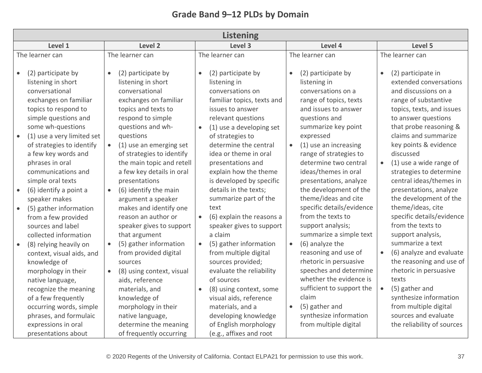| <b>Listening</b>                                                                                                                                                                                                                                                                                                                                                                                                                                                                                                                                                                                           |                                                                                                                                                                                                                                                                                                                                                                                                                                                                                                                                                                                                                             |                                                                                                                                                                                                                                                                                                                                                                                                                                                                                                                                                                                                                                                        |                                                                                                                                                                                                                                                                                                                                                                                                                                                                                                                                                                                                                                                          |                                                                                                                                                                                                                                                                                                                                                                                                                                                                                                                                                                                                                                                                |  |  |  |
|------------------------------------------------------------------------------------------------------------------------------------------------------------------------------------------------------------------------------------------------------------------------------------------------------------------------------------------------------------------------------------------------------------------------------------------------------------------------------------------------------------------------------------------------------------------------------------------------------------|-----------------------------------------------------------------------------------------------------------------------------------------------------------------------------------------------------------------------------------------------------------------------------------------------------------------------------------------------------------------------------------------------------------------------------------------------------------------------------------------------------------------------------------------------------------------------------------------------------------------------------|--------------------------------------------------------------------------------------------------------------------------------------------------------------------------------------------------------------------------------------------------------------------------------------------------------------------------------------------------------------------------------------------------------------------------------------------------------------------------------------------------------------------------------------------------------------------------------------------------------------------------------------------------------|----------------------------------------------------------------------------------------------------------------------------------------------------------------------------------------------------------------------------------------------------------------------------------------------------------------------------------------------------------------------------------------------------------------------------------------------------------------------------------------------------------------------------------------------------------------------------------------------------------------------------------------------------------|----------------------------------------------------------------------------------------------------------------------------------------------------------------------------------------------------------------------------------------------------------------------------------------------------------------------------------------------------------------------------------------------------------------------------------------------------------------------------------------------------------------------------------------------------------------------------------------------------------------------------------------------------------------|--|--|--|
| Level 1                                                                                                                                                                                                                                                                                                                                                                                                                                                                                                                                                                                                    | Level 2                                                                                                                                                                                                                                                                                                                                                                                                                                                                                                                                                                                                                     | Level 3                                                                                                                                                                                                                                                                                                                                                                                                                                                                                                                                                                                                                                                | Level 4                                                                                                                                                                                                                                                                                                                                                                                                                                                                                                                                                                                                                                                  | Level 5                                                                                                                                                                                                                                                                                                                                                                                                                                                                                                                                                                                                                                                        |  |  |  |
| The learner can                                                                                                                                                                                                                                                                                                                                                                                                                                                                                                                                                                                            | The learner can                                                                                                                                                                                                                                                                                                                                                                                                                                                                                                                                                                                                             | The learner can                                                                                                                                                                                                                                                                                                                                                                                                                                                                                                                                                                                                                                        | The learner can                                                                                                                                                                                                                                                                                                                                                                                                                                                                                                                                                                                                                                          | The learner can                                                                                                                                                                                                                                                                                                                                                                                                                                                                                                                                                                                                                                                |  |  |  |
| (2) participate by<br>listening in short<br>conversational<br>exchanges on familiar<br>topics to respond to<br>simple questions and<br>some wh-questions<br>(1) use a very limited set<br>$\bullet$<br>of strategies to identify<br>a few key words and<br>phrases in oral<br>communications and<br>simple oral texts<br>(6) identify a point a<br>speaker makes<br>(5) gather information<br>from a few provided<br>sources and label<br>collected information<br>(8) relying heavily on<br>context, visual aids, and<br>knowledge of<br>morphology in their<br>native language,<br>recognize the meaning | (2) participate by<br>listening in short<br>conversational<br>exchanges on familiar<br>topics and texts to<br>respond to simple<br>questions and wh-<br>questions<br>(1) use an emerging set<br>$\bullet$<br>of strategies to identify<br>the main topic and retell<br>a few key details in oral<br>presentations<br>(6) identify the main<br>$\bullet$<br>argument a speaker<br>makes and identify one<br>reason an author or<br>speaker gives to support<br>that argument<br>(5) gather information<br>from provided digital<br>sources<br>(8) using context, visual<br>aids, reference<br>materials, and<br>knowledge of | (2) participate by<br>listening in<br>conversations on<br>familiar topics, texts and<br>issues to answer<br>relevant questions<br>(1) use a developing set<br>of strategies to<br>determine the central<br>idea or theme in oral<br>presentations and<br>explain how the theme<br>is developed by specific<br>details in the texts;<br>summarize part of the<br>text<br>(6) explain the reasons a<br>$\bullet$<br>speaker gives to support<br>a claim<br>(5) gather information<br>$\bullet$<br>from multiple digital<br>sources provided;<br>evaluate the reliability<br>of sources<br>(8) using context, some<br>$\bullet$<br>visual aids, reference | (2) participate by<br>$\bullet$<br>listening in<br>conversations on a<br>range of topics, texts<br>and issues to answer<br>questions and<br>summarize key point<br>expressed<br>(1) use an increasing<br>$\bullet$<br>range of strategies to<br>determine two central<br>ideas/themes in oral<br>presentations, analyze<br>the development of the<br>theme/ideas and cite<br>specific details/evidence<br>from the texts to<br>support analysis;<br>summarize a simple text<br>(6) analyze the<br>$\bullet$<br>reasoning and use of<br>rhetoric in persuasive<br>speeches and determine<br>whether the evidence is<br>sufficient to support the<br>claim | (2) participate in<br>extended conversations<br>and discussions on a<br>range of substantive<br>topics, texts, and issues<br>to answer questions<br>that probe reasoning &<br>claims and summarize<br>key points & evidence<br>discussed<br>(1) use a wide range of<br>$\bullet$<br>strategies to determine<br>central ideas/themes in<br>presentations, analyze<br>the development of the<br>theme/ideas, cite<br>specific details/evidence<br>from the texts to<br>support analysis,<br>summarize a text<br>(6) analyze and evaluate<br>$\bullet$<br>the reasoning and use of<br>rhetoric in persuasive<br>texts<br>(5) gather and<br>synthesize information |  |  |  |
| of a few frequently<br>occurring words, simple<br>phrases, and formulaic<br>expressions in oral<br>presentations about                                                                                                                                                                                                                                                                                                                                                                                                                                                                                     | morphology in their<br>native language,<br>determine the meaning<br>of frequently occurring                                                                                                                                                                                                                                                                                                                                                                                                                                                                                                                                 | materials, and a<br>developing knowledge<br>of English morphology<br>(e.g., affixes and root                                                                                                                                                                                                                                                                                                                                                                                                                                                                                                                                                           | (5) gather and<br>$\bullet$<br>synthesize information<br>from multiple digital                                                                                                                                                                                                                                                                                                                                                                                                                                                                                                                                                                           | from multiple digital<br>sources and evaluate<br>the reliability of sources                                                                                                                                                                                                                                                                                                                                                                                                                                                                                                                                                                                    |  |  |  |

## **Grade Band 9–12 PLDs by Domain**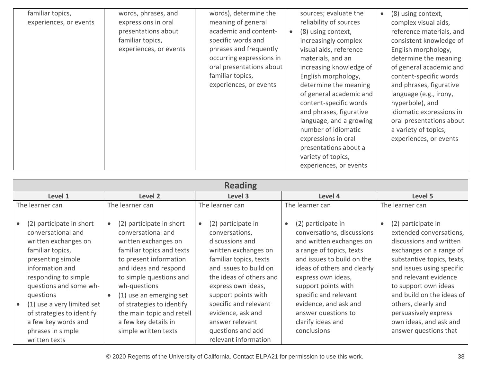| familiar topics,<br>experiences, or events | words, phrases, and<br>expressions in oral                        | words), determine the<br>meaning of general                                                                                                                                 | sources; evaluate the<br>reliability of sources                                                                                                                                                                                                                                                                                                                                                                     | (8) using context,<br>$\bullet$<br>complex visual aids,                                                                                                                                                                                                                                                                                    |
|--------------------------------------------|-------------------------------------------------------------------|-----------------------------------------------------------------------------------------------------------------------------------------------------------------------------|---------------------------------------------------------------------------------------------------------------------------------------------------------------------------------------------------------------------------------------------------------------------------------------------------------------------------------------------------------------------------------------------------------------------|--------------------------------------------------------------------------------------------------------------------------------------------------------------------------------------------------------------------------------------------------------------------------------------------------------------------------------------------|
|                                            | presentations about<br>familiar topics,<br>experiences, or events | academic and content-<br>specific words and<br>phrases and frequently<br>occurring expressions in<br>oral presentations about<br>familiar topics,<br>experiences, or events | (8) using context,<br>$\bullet$<br>increasingly complex<br>visual aids, reference<br>materials, and an<br>increasing knowledge of<br>English morphology,<br>determine the meaning<br>of general academic and<br>content-specific words<br>and phrases, figurative<br>language, and a growing<br>number of idiomatic<br>expressions in oral<br>presentations about a<br>variety of topics,<br>experiences, or events | reference materials, and<br>consistent knowledge of<br>English morphology,<br>determine the meaning<br>of general academic and<br>content-specific words<br>and phrases, figurative<br>language (e.g., irony,<br>hyperbole), and<br>idiomatic expressions in<br>oral presentations about<br>a variety of topics,<br>experiences, or events |

| <b>Reading</b>                                                                                                                                                                                                                                                                                                            |                                                                                                                                                                                                                                                                                                                                        |                                                                                                                                                                                                                                                                                                                                        |                                                                                                                                                                                                                                                                                                                                 |                                                                                                                                                                                                                                                                                                                                                |  |  |  |
|---------------------------------------------------------------------------------------------------------------------------------------------------------------------------------------------------------------------------------------------------------------------------------------------------------------------------|----------------------------------------------------------------------------------------------------------------------------------------------------------------------------------------------------------------------------------------------------------------------------------------------------------------------------------------|----------------------------------------------------------------------------------------------------------------------------------------------------------------------------------------------------------------------------------------------------------------------------------------------------------------------------------------|---------------------------------------------------------------------------------------------------------------------------------------------------------------------------------------------------------------------------------------------------------------------------------------------------------------------------------|------------------------------------------------------------------------------------------------------------------------------------------------------------------------------------------------------------------------------------------------------------------------------------------------------------------------------------------------|--|--|--|
| Level 1                                                                                                                                                                                                                                                                                                                   | Level 2                                                                                                                                                                                                                                                                                                                                | Level 3                                                                                                                                                                                                                                                                                                                                | Level 4                                                                                                                                                                                                                                                                                                                         | Level 5                                                                                                                                                                                                                                                                                                                                        |  |  |  |
| The learner can                                                                                                                                                                                                                                                                                                           | The learner can                                                                                                                                                                                                                                                                                                                        | The learner can                                                                                                                                                                                                                                                                                                                        | The learner can                                                                                                                                                                                                                                                                                                                 | The learner can                                                                                                                                                                                                                                                                                                                                |  |  |  |
| (2) participate in short<br>conversational and<br>written exchanges on<br>familiar topics,<br>presenting simple<br>information and<br>responding to simple<br>questions and some wh-<br>questions<br>(1) use a very limited set<br>of strategies to identify<br>a few key words and<br>phrases in simple<br>written texts | (2) participate in short<br>conversational and<br>written exchanges on<br>familiar topics and texts<br>to present information<br>and ideas and respond<br>to simple questions and<br>wh-questions<br>(1) use an emerging set<br>of strategies to identify<br>the main topic and retell<br>a few key details in<br>simple written texts | (2) participate in<br>$\bullet$<br>conversations,<br>discussions and<br>written exchanges on<br>familiar topics, texts<br>and issues to build on<br>the ideas of others and<br>express own ideas,<br>support points with<br>specific and relevant<br>evidence, ask and<br>answer relevant<br>questions and add<br>relevant information | (2) participate in<br>conversations, discussions<br>and written exchanges on<br>a range of topics, texts<br>and issues to build on the<br>ideas of others and clearly<br>express own ideas,<br>support points with<br>specific and relevant<br>evidence, and ask and<br>answer questions to<br>clarify ideas and<br>conclusions | (2) participate in<br>extended conversations,<br>discussions and written<br>exchanges on a range of<br>substantive topics, texts,<br>and issues using specific<br>and relevant evidence<br>to support own ideas<br>and build on the ideas of<br>others, clearly and<br>persuasively express<br>own ideas, and ask and<br>answer questions that |  |  |  |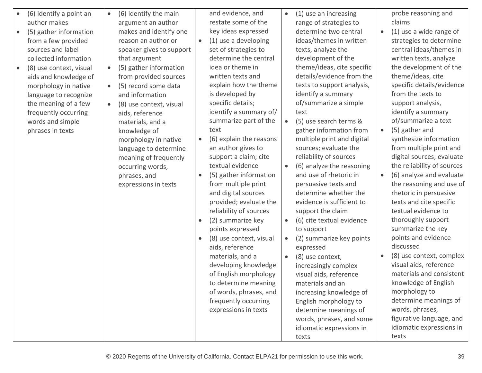| (6) identify a point an<br>author makes<br>(5) gather information<br>from a few provided<br>sources and label<br>collected information<br>(8) use context, visual<br>$\bullet$<br>aids and knowledge of<br>morphology in native<br>language to recognize<br>the meaning of a few<br>frequently occurring<br>words and simple<br>phrases in texts | $\bullet$ | (6) identify the main<br>argument an author<br>makes and identify one<br>reason an author or<br>speaker gives to support<br>that argument<br>(5) gather information<br>from provided sources<br>(5) record some data<br>and information<br>(8) use context, visual<br>aids, reference<br>materials, and a<br>knowledge of<br>morphology in native<br>language to determine<br>meaning of frequently<br>occurring words,<br>phrases, and<br>expressions in texts | $\bullet$<br>$\bullet$<br>$\bullet$<br>$\bullet$ | and evidence, and<br>restate some of the<br>key ideas expressed<br>(1) use a developing<br>set of strategies to<br>determine the central<br>idea or theme in<br>written texts and<br>explain how the theme<br>is developed by<br>specific details;<br>identify a summary of/<br>summarize part of the<br>text<br>(6) explain the reasons<br>an author gives to<br>support a claim; cite<br>textual evidence<br>(5) gather information<br>from multiple print<br>and digital sources<br>provided; evaluate the<br>reliability of sources<br>(2) summarize key<br>points expressed<br>(8) use context, visual<br>aids, reference<br>materials, and a<br>developing knowledge<br>of English morphology<br>to determine meaning<br>of words, phrases, and<br>frequently occurring<br>expressions in texts | $\bullet$<br>$\bullet$<br>$\bullet$ | (1) use an increasing<br>range of strategies to<br>determine two central<br>ideas/themes in written<br>texts, analyze the<br>development of the<br>theme/ideas, cite specific<br>details/evidence from the<br>texts to support analysis,<br>identify a summary<br>of/summarize a simple<br>text<br>(5) use search terms &<br>gather information from<br>multiple print and digital<br>sources; evaluate the<br>reliability of sources<br>(6) analyze the reasoning<br>and use of rhetoric in<br>persuasive texts and<br>determine whether the<br>evidence is sufficient to<br>support the claim<br>(6) cite textual evidence<br>to support<br>(2) summarize key points<br>expressed<br>(8) use context,<br>increasingly complex<br>visual aids, reference<br>materials and an<br>increasing knowledge of<br>English morphology to<br>determine meanings of<br>words, phrases, and some<br>idiomatic expressions in<br>texts | $\bullet$<br>$\bullet$<br>$\bullet$<br>$\bullet$ | probe reasoning and<br>claims<br>(1) use a wide range of<br>strategies to determine<br>central ideas/themes in<br>written texts, analyze<br>the development of the<br>theme/ideas, cite<br>specific details/evidence<br>from the texts to<br>support analysis,<br>identify a summary<br>of/summarize a text<br>(5) gather and<br>synthesize information<br>from multiple print and<br>digital sources; evaluate<br>the reliability of sources<br>(6) analyze and evaluate<br>the reasoning and use of<br>rhetoric in persuasive<br>texts and cite specific<br>textual evidence to<br>thoroughly support<br>summarize the key<br>points and evidence<br>discussed<br>(8) use context, complex<br>visual aids, reference<br>materials and consistent<br>knowledge of English<br>morphology to<br>determine meanings of<br>words, phrases,<br>figurative language, and<br>idiomatic expressions in<br>texts |
|--------------------------------------------------------------------------------------------------------------------------------------------------------------------------------------------------------------------------------------------------------------------------------------------------------------------------------------------------|-----------|-----------------------------------------------------------------------------------------------------------------------------------------------------------------------------------------------------------------------------------------------------------------------------------------------------------------------------------------------------------------------------------------------------------------------------------------------------------------|--------------------------------------------------|-------------------------------------------------------------------------------------------------------------------------------------------------------------------------------------------------------------------------------------------------------------------------------------------------------------------------------------------------------------------------------------------------------------------------------------------------------------------------------------------------------------------------------------------------------------------------------------------------------------------------------------------------------------------------------------------------------------------------------------------------------------------------------------------------------|-------------------------------------|-----------------------------------------------------------------------------------------------------------------------------------------------------------------------------------------------------------------------------------------------------------------------------------------------------------------------------------------------------------------------------------------------------------------------------------------------------------------------------------------------------------------------------------------------------------------------------------------------------------------------------------------------------------------------------------------------------------------------------------------------------------------------------------------------------------------------------------------------------------------------------------------------------------------------------|--------------------------------------------------|----------------------------------------------------------------------------------------------------------------------------------------------------------------------------------------------------------------------------------------------------------------------------------------------------------------------------------------------------------------------------------------------------------------------------------------------------------------------------------------------------------------------------------------------------------------------------------------------------------------------------------------------------------------------------------------------------------------------------------------------------------------------------------------------------------------------------------------------------------------------------------------------------------|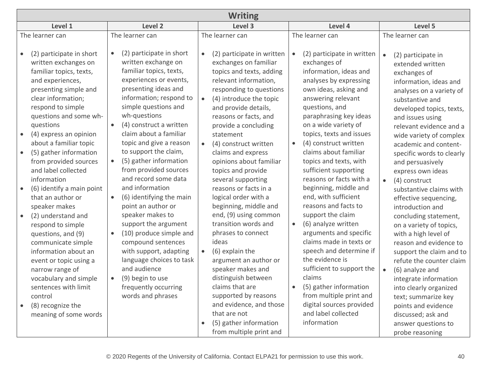| <b>Writing</b>                                                                                                                                                                                                                                                                                                                                                              |                                                                                                                                                                                                                                                                                                                                                                                                                         |                                                                                                                                                                                                                                                                                                                                                                                                                          |                                                                                                                                                                                                                                                                                                                                                                                                                                                                |                                                                                                                                                                                                                                                                                                                                                                                                                                                                         |  |  |  |
|-----------------------------------------------------------------------------------------------------------------------------------------------------------------------------------------------------------------------------------------------------------------------------------------------------------------------------------------------------------------------------|-------------------------------------------------------------------------------------------------------------------------------------------------------------------------------------------------------------------------------------------------------------------------------------------------------------------------------------------------------------------------------------------------------------------------|--------------------------------------------------------------------------------------------------------------------------------------------------------------------------------------------------------------------------------------------------------------------------------------------------------------------------------------------------------------------------------------------------------------------------|----------------------------------------------------------------------------------------------------------------------------------------------------------------------------------------------------------------------------------------------------------------------------------------------------------------------------------------------------------------------------------------------------------------------------------------------------------------|-------------------------------------------------------------------------------------------------------------------------------------------------------------------------------------------------------------------------------------------------------------------------------------------------------------------------------------------------------------------------------------------------------------------------------------------------------------------------|--|--|--|
| Level 1                                                                                                                                                                                                                                                                                                                                                                     | Level 2                                                                                                                                                                                                                                                                                                                                                                                                                 | Level 3                                                                                                                                                                                                                                                                                                                                                                                                                  | Level 4                                                                                                                                                                                                                                                                                                                                                                                                                                                        | Level 5                                                                                                                                                                                                                                                                                                                                                                                                                                                                 |  |  |  |
| The learner can<br>(2) participate in short<br>written exchanges on<br>familiar topics, texts,<br>and experiences,<br>presenting simple and<br>clear information;<br>respond to simple<br>questions and some wh-<br>questions<br>(4) express an opinion<br>about a familiar topic<br>(5) gather information<br>$\bullet$                                                    | The learner can<br>(2) participate in short<br>$\bullet$<br>written exchange on<br>familiar topics, texts,<br>experiences or events,<br>presenting ideas and<br>information; respond to<br>simple questions and<br>wh-questions<br>(4) construct a written<br>$\bullet$<br>claim about a familiar<br>topic and give a reason<br>to support the claim,                                                                   | The learner can<br>(2) participate in written<br>exchanges on familiar<br>topics and texts, adding<br>relevant information,<br>responding to questions<br>(4) introduce the topic<br>$\bullet$<br>and provide details,<br>reasons or facts, and<br>provide a concluding<br>statement<br>(4) construct written<br>$\bullet$<br>claims and express                                                                         | The learner can<br>(2) participate in written<br>$\bullet$<br>exchanges of<br>information, ideas and<br>analyses by expressing<br>own ideas, asking and<br>answering relevant<br>questions, and<br>paraphrasing key ideas<br>on a wide variety of<br>topics, texts and issues<br>(4) construct written<br>$\bullet$<br>claims about familiar                                                                                                                   | The learner can<br>(2) participate in<br>$\bullet$<br>extended written<br>exchanges of<br>information, ideas and<br>analyses on a variety of<br>substantive and<br>developed topics, texts,<br>and issues using<br>relevant evidence and a<br>wide variety of complex<br>academic and content-                                                                                                                                                                          |  |  |  |
| from provided sources<br>and label collected<br>information<br>(6) identify a main point<br>that an author or<br>speaker makes<br>(2) understand and<br>respond to simple<br>questions, and (9)<br>communicate simple<br>information about an<br>event or topic using a<br>narrow range of<br>vocabulary and simple<br>sentences with limit<br>control<br>(8) recognize the | (5) gather information<br>$\bullet$<br>from provided sources<br>and record some data<br>and information<br>(6) identifying the main<br>$\bullet$<br>point an author or<br>speaker makes to<br>support the argument<br>(10) produce simple and<br>$\bullet$<br>compound sentences<br>with support, adapting<br>language choices to task<br>and audience<br>(9) begin to use<br>frequently occurring<br>words and phrases | opinions about familiar<br>topics and provide<br>several supporting<br>reasons or facts in a<br>logical order with a<br>beginning, middle and<br>end, (9) using common<br>transition words and<br>phrases to connect<br>ideas<br>(6) explain the<br>$\bullet$<br>argument an author or<br>speaker makes and<br>distinguish between<br>claims that are<br>supported by reasons<br>and evidence, and those<br>that are not | topics and texts, with<br>sufficient supporting<br>reasons or facts with a<br>beginning, middle and<br>end, with sufficient<br>reasons and facts to<br>support the claim<br>(6) analyze written<br>$\bullet$<br>arguments and specific<br>claims made in texts or<br>speech and determine if<br>the evidence is<br>sufficient to support the<br>claims<br>(5) gather information<br>from multiple print and<br>digital sources provided<br>and label collected | specific words to clearly<br>and persuasively<br>express own ideas<br>(4) construct<br>$\bullet$<br>substantive claims with<br>effective sequencing,<br>introduction and<br>concluding statement,<br>on a variety of topics,<br>with a high level of<br>reason and evidence to<br>support the claim and to<br>refute the counter claim<br>(6) analyze and<br>$\bullet$<br>integrate information<br>into clearly organized<br>text; summarize key<br>points and evidence |  |  |  |
| meaning of some words                                                                                                                                                                                                                                                                                                                                                       |                                                                                                                                                                                                                                                                                                                                                                                                                         | (5) gather information<br>from multiple print and                                                                                                                                                                                                                                                                                                                                                                        | information                                                                                                                                                                                                                                                                                                                                                                                                                                                    | discussed; ask and<br>answer questions to<br>probe reasoning                                                                                                                                                                                                                                                                                                                                                                                                            |  |  |  |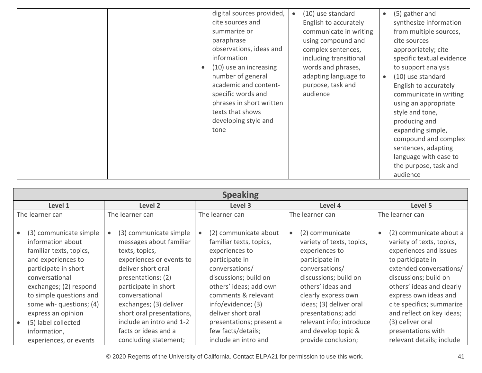| digital sources provided,<br>cite sources and<br>summarize or<br>paraphrase<br>observations, ideas and<br>information<br>(10) use an increasing<br>number of general<br>academic and content-<br>specific words and<br>phrases in short written<br>texts that shows<br>developing style and<br>tone | (10) use standard<br>(5) gather and<br>$\bullet$<br>English to accurately<br>synthesize information<br>communicate in writing<br>from multiple sources,<br>using compound and<br>cite sources<br>complex sentences,<br>appropriately; cite<br>specific textual evidence<br>including transitional<br>words and phrases,<br>to support analysis<br>adapting language to<br>(10) use standard<br>$\bullet$<br>purpose, task and<br>English to accurately<br>audience<br>communicate in writing<br>using an appropriate<br>style and tone,<br>producing and<br>expanding simple,<br>compound and complex<br>sentences, adapting<br>language with ease to<br>the purpose, task and<br>audience |
|-----------------------------------------------------------------------------------------------------------------------------------------------------------------------------------------------------------------------------------------------------------------------------------------------------|--------------------------------------------------------------------------------------------------------------------------------------------------------------------------------------------------------------------------------------------------------------------------------------------------------------------------------------------------------------------------------------------------------------------------------------------------------------------------------------------------------------------------------------------------------------------------------------------------------------------------------------------------------------------------------------------|
|-----------------------------------------------------------------------------------------------------------------------------------------------------------------------------------------------------------------------------------------------------------------------------------------------------|--------------------------------------------------------------------------------------------------------------------------------------------------------------------------------------------------------------------------------------------------------------------------------------------------------------------------------------------------------------------------------------------------------------------------------------------------------------------------------------------------------------------------------------------------------------------------------------------------------------------------------------------------------------------------------------------|

| <b>Speaking</b>                                                                                                                                                                                                                                                                                                                                   |                                                                                                                                                                                                                                                                                       |                                                                                                                                                                                                                                                                                                                     |                                                                                                                                                                                                                                                                                                    |                                                                                                                                                                                                                                                                                                                                                             |  |  |  |
|---------------------------------------------------------------------------------------------------------------------------------------------------------------------------------------------------------------------------------------------------------------------------------------------------------------------------------------------------|---------------------------------------------------------------------------------------------------------------------------------------------------------------------------------------------------------------------------------------------------------------------------------------|---------------------------------------------------------------------------------------------------------------------------------------------------------------------------------------------------------------------------------------------------------------------------------------------------------------------|----------------------------------------------------------------------------------------------------------------------------------------------------------------------------------------------------------------------------------------------------------------------------------------------------|-------------------------------------------------------------------------------------------------------------------------------------------------------------------------------------------------------------------------------------------------------------------------------------------------------------------------------------------------------------|--|--|--|
| Level 2<br>Level 1                                                                                                                                                                                                                                                                                                                                | Level 3                                                                                                                                                                                                                                                                               | Level 4                                                                                                                                                                                                                                                                                                             | Level 5                                                                                                                                                                                                                                                                                            |                                                                                                                                                                                                                                                                                                                                                             |  |  |  |
| The learner can<br>The learner can                                                                                                                                                                                                                                                                                                                | The learner can                                                                                                                                                                                                                                                                       |                                                                                                                                                                                                                                                                                                                     | The learner can                                                                                                                                                                                                                                                                                    | The learner can                                                                                                                                                                                                                                                                                                                                             |  |  |  |
| (3) communicate simple<br>information about<br>familiar texts, topics,<br>texts, topics,<br>and experiences to<br>participate in short<br>conversational<br>exchanges; (2) respond<br>to simple questions and<br>conversational<br>some wh- questions; (4)<br>express an opinion<br>(5) label collected<br>information,<br>experiences, or events | (3) communicate simple<br>messages about familiar<br>experiences or events to<br>deliver short oral<br>presentations; (2)<br>participate in short<br>exchanges; (3) deliver<br>short oral presentations,<br>include an intro and 1-2<br>facts or ideas and a<br>concluding statement; | (2) communicate about<br>$\bullet$<br>familiar texts, topics,<br>experiences to<br>participate in<br>conversations/<br>discussions; build on<br>others' ideas; add own<br>comments & relevant<br>info/evidence; (3)<br>deliver short oral<br>presentations; present a<br>few facts/details;<br>include an intro and | (2) communicate<br>variety of texts, topics,<br>experiences to<br>participate in<br>conversations/<br>discussions; build on<br>others' ideas and<br>clearly express own<br>ideas; (3) deliver oral<br>presentations; add<br>relevant info; introduce<br>and develop topic &<br>provide conclusion; | (2) communicate about a<br>$\bullet$<br>variety of texts, topics,<br>experiences and issues<br>to participate in<br>extended conversations/<br>discussions; build on<br>others' ideas and clearly<br>express own ideas and<br>cite specifics; summarize<br>and reflect on key ideas;<br>(3) deliver oral<br>presentations with<br>relevant details; include |  |  |  |

© 2020 Regents of the University of California. Contact ELPA21 for permission to use this work. 41